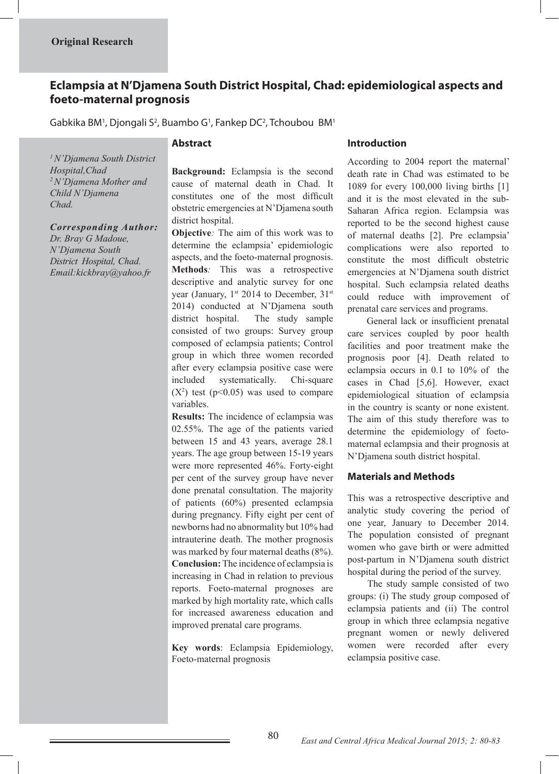# **Eclampsia at N'Djamena South District Hospital, Chad: epidemiological aspects and foeto-maternal prognosis**

Gabkika BM<sup>1</sup>, Djongali S<sup>2</sup>, Buambo G<sup>1</sup>, Fankep DC<sup>2</sup>, Tchoubou BM<sup>1</sup>

## **Abstract**

*1 N'Djamena South District Hospital,Chad 2 N'Djamena Mother and Child N'Djamena Chad.*

*Corresponding Author: Dr. Bray G Madoue, N'Djamena South District Hospital, Chad. Email:kickbray@yahoo.fr*

**Background:** Eclampsia is the second cause of maternal death in Chad. It constitutes one of the most difficult obstetric emergencies at N'Djamena south district hospital.

**Objective***:* The aim of this work was to determine the eclampsia' epidemiologic aspects, and the foeto-maternal prognosis. **Methods***:* This was a retrospective descriptive and analytic survey for one year (January,  $1^{st}$  2014 to December,  $31^{st}$ 2014) conducted at N'Djamena south district hospital. The study sample consisted of two groups: Survey group composed of eclampsia patients; Control group in which three women recorded after every eclampsia positive case were included systematically. Chi-square  $(X^2)$  test ( $p<0.05$ ) was used to compare variables.

**Results:** The incidence of eclampsia was 02.55%. The age of the patients varied between 15 and 43 years, average 28.1 years. The age group between 15-19 years were more represented 46%. Forty-eight per cent of the survey group have never done prenatal consultation. The majority of patients (60%) presented eclampsia during pregnancy. Fifty eight per cent of newborns had no abnormality but 10% had intrauterine death. The mother prognosis was marked by four maternal deaths (8%). **Conclusion:** The incidence of eclampsia is increasing in Chad in relation to previous reports. Foeto-maternal prognoses are marked by high mortality rate, which calls for increased awareness education and improved prenatal care programs.

**Key words**: Eclampsia Epidemiology, Foeto-maternal prognosis

## **Introduction**

According to 2004 report the maternal' death rate in Chad was estimated to be 1089 for every 100,000 living births [1] and it is the most elevated in the sub-Saharan Africa region. Eclampsia was reported to be the second highest cause of maternal deaths [2]. Pre eclampsia' complications were also reported to constitute the most difficult obstetric emergencies at N'Djamena south district hospital. Such eclampsia related deaths could reduce with improvement of prenatal care services and programs.

 General lack or insufficient prenatal care services coupled by poor health facilities and poor treatment make the prognosis poor [4]. Death related to eclampsia occurs in 0.1 to 10% of the cases in Chad [5,6]. However, exact epidemiological situation of eclampsia in the country is scanty or none existent. The aim of this study therefore was to determine the epidemiology of foetomaternal eclampsia and their prognosis at N'Djamena south district hospital.

## **Materials and Methods**

This was a retrospective descriptive and analytic study covering the period of one year, January to December 2014. The population consisted of pregnant women who gave birth or were admitted post-partum in N'Djamena south district hospital during the period of the survey.

 The study sample consisted of two groups: (i) The study group composed of eclampsia patients and (ii) The control group in which three eclampsia negative pregnant women or newly delivered women were recorded after every eclampsia positive case.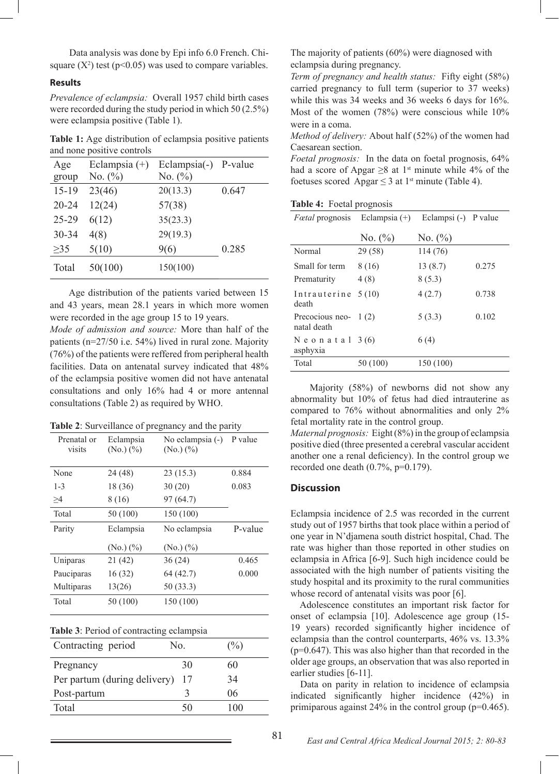Data analysis was done by Epi info 6.0 French. Chisquare  $(X^2)$  test (p<0.05) was used to compare variables.

#### **Results**

*Prevalence of eclampsia:* Overall 1957 child birth cases were recorded during the study period in which 50 (2.5%) were eclampsia positive (Table 1).

**Table 1:** Age distribution of eclampsia positive patients and none positive controls

| Age<br>group | Eclampsia $(+)$<br>No. $(\%)$ | Eclampsia(-)<br>No. $(\%)$ | P-value |
|--------------|-------------------------------|----------------------------|---------|
| $15 - 19$    | 23(46)                        | 20(13.3)                   | 0.647   |
| $20 - 24$    | 12(24)                        | 57(38)                     |         |
| $25 - 29$    | 6(12)                         | 35(23.3)                   |         |
| 30-34        | 4(8)                          | 29(19.3)                   |         |
| $\geq$ 35    | 5(10)                         | 9(6)                       | 0.285   |
| Total        | 50(100)                       | 150(100)                   |         |

 Age distribution of the patients varied between 15 and 43 years, mean 28.1 years in which more women were recorded in the age group 15 to 19 years.

*Mode of admission and source:* More than half of the patients (n=27/50 i.e. 54%) lived in rural zone. Majority (76%) of the patients were reffered from peripheral health facilities. Data on antenatal survey indicated that 48% of the eclampsia positive women did not have antenatal consultations and only 16% had 4 or more antennal consultations (Table 2) as required by WHO.

| Table 2: Surveillance of pregnancy and the parity |  |  |  |
|---------------------------------------------------|--|--|--|
|---------------------------------------------------|--|--|--|

| Prenatal or<br>visits | Eclampsia<br>$(No.)$ $(\%)$ | No eclampsia (-)<br>$(No.)$ $(\%)$ | P value |
|-----------------------|-----------------------------|------------------------------------|---------|
| None                  | 24 (48)                     | 23(15.3)                           | 0.884   |
| $1 - 3$               | 18 (36)                     | 30(20)                             | 0.083   |
| >4                    | 8 (16)                      | 97 (64.7)                          |         |
| Total                 | 50 (100)                    | 150 (100)                          |         |
| Parity                | Eclampsia                   | No eclampsia                       | P-value |
|                       | $(No.)$ $(\%)$              | $(No.)$ $(\%)$                     |         |
| Uniparas              | 21 (42)                     | 36(24)                             | 0.465   |
| Pauciparas            | 16(32)                      | 64 (42.7)                          | 0.000   |
| Multiparas            | 13(26)                      | 50(33.3)                           |         |
| Total                 | 50 (100)                    | 150 (100)                          |         |

| Contracting period           | No. | $(\%)$ |
|------------------------------|-----|--------|
| Pregnancy                    | 30  | 60     |
| Per partum (during delivery) | 17  | 34     |
| Post-partum                  | ζ   | 06     |
| Total                        | -50 | 100    |

The majority of patients (60%) were diagnosed with eclampsia during pregnancy.

*Term of pregnancy and health status:* Fifty eight (58%) carried pregnancy to full term (superior to 37 weeks) while this was 34 weeks and 36 weeks 6 days for 16%. Most of the women (78%) were conscious while 10% were in a coma.

*Method of delivery:* About half (52%) of the women had Caesarean section.

*Foetal prognosis:* In the data on foetal prognosis, 64% had a score of Apgar  $\geq 8$  at 1<sup>st</sup> minute while 4% of the foetuses scored Apgar  $\leq 3$  at 1<sup>st</sup> minute (Table 4).

| <b>Table 4:</b> Foetal prognosis |
|----------------------------------|

| <i>Fortal</i> prognosis               | Eclampsia $(+)$ | Eclampsi (-) P value |       |
|---------------------------------------|-----------------|----------------------|-------|
|                                       | No. $(\% )$     | No. $(\%)$           |       |
| Normal                                | 29 (58)         | 114 (76)             |       |
| Small for term                        | 8 (16)          | 13(8.7)              | 0.275 |
| Prematurity                           | 4(8)            | 8(5.3)               |       |
| Intrauterine<br>death                 | 5(10)           | 4(2.7)               | 0.738 |
| Precocious neo- $1(2)$<br>natal death |                 | 5(3.3)               | 0.102 |
| Neonatal $3(6)$<br>asphyxia           |                 | 6(4)                 |       |
| Total                                 | 50(100)         | 150 (100)            |       |

 Majority (58%) of newborns did not show any abnormality but 10% of fetus had died intrauterine as compared to 76% without abnormalities and only 2% fetal mortality rate in the control group.

*Maternal prognosis:* Eight (8%) in the group of eclampsia positive died (three presented a cerebral vascular accident another one a renal deficiency). In the control group we recorded one death (0.7%, p=0.179).

#### **Discussion**

Eclampsia incidence of 2.5 was recorded in the current study out of 1957 births that took place within a period of one year in N'djamena south district hospital, Chad. The rate was higher than those reported in other studies on eclampsia in Africa [6-9]. Such high incidence could be associated with the high number of patients visiting the study hospital and its proximity to the rural communities whose record of antenatal visits was poor [6].

Adolescence constitutes an important risk factor for onset of eclampsia [10]. Adolescence age group (15- 19 years) recorded significantly higher incidence of eclampsia than the control counterparts, 46% vs. 13.3% (p=0.647). This was also higher than that recorded in the older age groups, an observation that was also reported in earlier studies [6-11].

Data on parity in relation to incidence of eclampsia indicated significantly higher incidence (42%) in primiparous against 24% in the control group (p=0.465).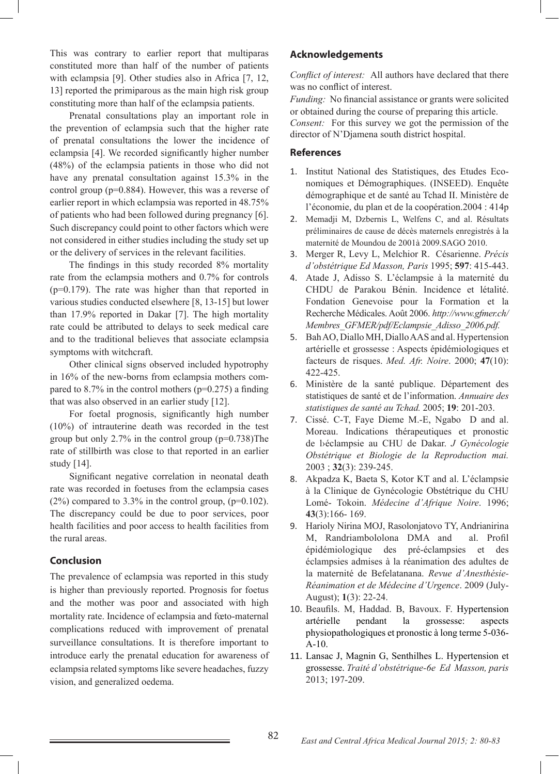This was contrary to earlier report that multiparas constituted more than half of the number of patients with eclampsia [9]. Other studies also in Africa [7, 12, 13] reported the primiparous as the main high risk group constituting more than half of the eclampsia patients.

 Prenatal consultations play an important role in the prevention of eclampsia such that the higher rate of prenatal consultations the lower the incidence of eclampsia [4]. We recorded significantly higher number (48%) of the eclampsia patients in those who did not have any prenatal consultation against 15.3% in the control group (p=0.884). However, this was a reverse of earlier report in which eclampsia was reported in 48.75% of patients who had been followed during pregnancy [6]. Such discrepancy could point to other factors which were not considered in either studies including the study set up or the delivery of services in the relevant facilities.

 The findings in this study recorded 8% mortality rate from the eclampsia mothers and 0.7% for controls (p=0.179). The rate was higher than that reported in various studies conducted elsewhere [8, 13-15] but lower than 17.9% reported in Dakar [7]. The high mortality rate could be attributed to delays to seek medical care and to the traditional believes that associate eclampsia symptoms with witchcraft.

 Other clinical signs observed included hypotrophy in 16% of the new-borns from eclampsia mothers compared to 8.7% in the control mothers ( $p=0.275$ ) a finding that was also observed in an earlier study [12].

 For foetal prognosis, significantly high number (10%) of intrauterine death was recorded in the test group but only 2.7% in the control group  $(p=0.738)$ The rate of stillbirth was close to that reported in an earlier study [14].

 Significant negative correlation in neonatal death rate was recorded in foetuses from the eclampsia cases  $(2%)$  compared to 3.3% in the control group,  $(p=0.102)$ . The discrepancy could be due to poor services, poor health facilities and poor access to health facilities from the rural areas.

## **Conclusion**

The prevalence of eclampsia was reported in this study is higher than previously reported. Prognosis for foetus and the mother was poor and associated with high mortality rate. Incidence of eclampsia and fœto-maternal complications reduced with improvement of prenatal surveillance consultations. It is therefore important to introduce early the prenatal education for awareness of eclampsia related symptoms like severe headaches, fuzzy vision, and generalized oedema.

## **Acknowledgements**

*Conflict of interest:* All authors have declared that there was no conflict of interest.

*Funding:* No financial assistance or grants were solicited or obtained during the course of preparing this article. *Consent:* For this survey we got the permission of the director of N'Djamena south district hospital.

### **References**

- 1. Institut National des Statistiques, des Etudes Economiques et Démographiques. (INSEED). Enquête démographique et de santé au Tchad II. Ministère de l'économie, du plan et de la coopération.2004 : 414p
- 2. Memadji M, Dzbernis L, Welfens C, and al. Résultats préliminaires de cause de décès maternels enregistrés à la maternité de Moundou de 2001à 2009.SAGO 2010.
- 3. Merger R, Levy L, Melchior R. Césarienne. *Précis d'obstétrique Ed Masson, Paris* 1995; **597**: 415-443.
- 4. Atade J, Adisso S. L'éclampsie à la maternité du CHDU de Parakou Bénin. Incidence et létalité. Fondation Genevoise pour la Formation et la Recherche Médicales. Août 2006. *http://www.gfmer.ch/ Membres\_GFMER/pdf/Eclampsie\_Adisso\_2006.pdf.*
- 5. Bah AO, Diallo MH, Diallo AAS and al. Hypertension artérielle et grossesse : Aspects épidémiologiques et facteurs de risques. *Med. Afr. Noire*. 2000; **47**(10): 422-425.
- 6. Ministère de la santé publique. Département des statistiques de santé et de l'information. *Annuaire des statistiques de santé au Tchad.* 2005; **19**: 201-203.
- 7. Cissé. C-T, Faye Dieme M.-E, Ngabo D and al. Moreau. Indications thérapeutiques et pronostic de lݎclampsie au CHU de Dakar. *J Gynécologie Obstétrique et Biologie de la Reproduction mai.* 2003 ; **32**(3): 239-245.
- 8. Akpadza K, Baeta S, Kotor KT and al. L'éclampsie à la Clinique de Gynécologie Obstétrique du CHU Lomé- Tokoin. *Médecine d'Afrique Noire*. 1996; **43**(3):166- 169.
- 9. Harioly Nirina MOJ, Rasolonjatovo TY, Andrianirina M, Randriambololona DMA and al. Profil épidémiologique des pré-éclampsies et des éclampsies admises à la réanimation des adultes de la maternité de Befelatanana. *Revue d'Anesthésie-Réanimation et de Médecine d'Urgence*. 2009 (July-August); **1**(3): 22-24.
- 10. Beaufils. M, Haddad. B, Bavoux. F. Hypertension artérielle pendant la grossesse: aspects physiopathologiques et pronostic à long terme 5-036- A-10.
- 11. Lansac J, Magnin G, Senthilhes L. Hypertension et grossesse. *Traité d'obstétrique-6e Ed Masson, paris*  2013; 197-209.